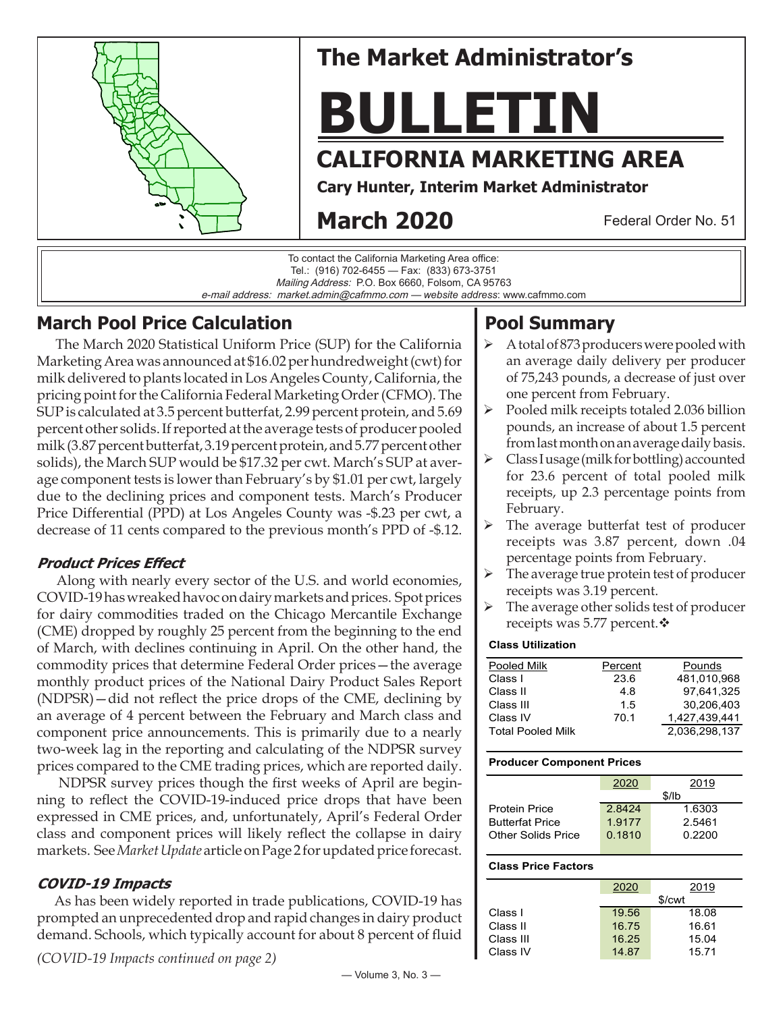

# **The Market Administrator's**

# **BULLETIN**

## **CALIFORNIA MARKETING AREA**

**Cary Hunter, Interim Market Administrator**

# **March 2020**

Federal Order No. 51

To contact the California Marketing Area office: Tel.: (916) 702-6455 — Fax: (833) 673-3751 Mailing Address: P.O. Box 6660, Folsom, CA 95763 e-mail address: market.admin@cafmmo.com — *website address*: www.cafmmo.com

## **March Pool Price Calculation**

 The March 2020 Statistical Uniform Price (SUP) for the California Marketing Area was announced at \$16.02 per hundredweight (cwt) for milk delivered to plants located in Los Angeles County, California, the pricing point for the California Federal Marketing Order (CFMO). The SUP is calculated at 3.5 percent butterfat, 2.99 percent protein, and 5.69 percent other solids. If reported at the average tests of producer pooled milk (3.87 percent butterfat, 3.19 percent protein, and 5.77 percent other solids), the March SUP would be \$17.32 per cwt. March's SUP at average component tests is lower than February's by \$1.01 per cwt, largely due to the declining prices and component tests. March's Producer Price Differential (PPD) at Los Angeles County was -\$.23 per cwt, a decrease of 11 cents compared to the previous month's PPD of -\$.12.

#### **Product Prices Effect**

Along with nearly every sector of the U.S. and world economies, COVID-19 has wreaked havoc on dairy markets and prices. Spot prices for dairy commodities traded on the Chicago Mercantile Exchange (CME) dropped by roughly 25 percent from the beginning to the end of March, with declines continuing in April. On the other hand, the commodity prices that determine Federal Order prices—the average monthly product prices of the National Dairy Product Sales Report (NDPSR)—did not reflect the price drops of the CME, declining by an average of 4 percent between the February and March class and component price announcements. This is primarily due to a nearly two-week lag in the reporting and calculating of the NDPSR survey prices compared to the CME trading prices, which are reported daily.

 NDPSR survey prices though the first weeks of April are beginning to reflect the COVID-19-induced price drops that have been expressed in CME prices, and, unfortunately, April's Federal Order class and component prices will likely reflect the collapse in dairy markets. See *Market Update* article on Page 2 for updated price forecast.

### **COVID-19 Impacts**

 As has been widely reported in trade publications, COVID-19 has prompted an unprecedented drop and rapid changes in dairy product demand. Schools, which typically account for about 8 percent of fluid

*(COVID-19 Impacts continued on page 2)*

#### — Volume 3, No. 3 —

## **Pool Summary**

- A total of 873 producers were pooled with an average daily delivery per producer of 75,243 pounds, a decrease of just over one percent from February.
- $\triangleright$  Pooled milk receipts totaled 2.036 billion pounds, an increase of about 1.5 percent from last month on an average daily basis.
- $\triangleright$  Class I usage (milk for bottling) accounted for 23.6 percent of total pooled milk receipts, up 2.3 percentage points from February.
- The average butterfat test of producer receipts was 3.87 percent, down .04 percentage points from February.
- $\triangleright$  The average true protein test of producer receipts was 3.19 percent.
- $\triangleright$  The average other solids test of producer receipts was 5.77 percent. $\mathbf{\hat{v}}$

#### **Class Utilization**

| Pooled Milk              | Percent | Pounds        |
|--------------------------|---------|---------------|
| Class I                  | 23.6    | 481,010,968   |
| Class II                 | 4.8     | 97.641.325    |
| Class III                | 1.5     | 30,206,403    |
| Class IV                 | 70.1    | 1,427,439,441 |
| <b>Total Pooled Milk</b> |         | 2.036.298.137 |

#### **Producer Component Prices**

| 2020   | 2019   |  |
|--------|--------|--|
| \$/lb  |        |  |
| 28424  | 1.6303 |  |
| 1.9177 | 2.5461 |  |
| 0.1810 | 0.2200 |  |
|        |        |  |

#### **Class Price Factors**

|           |                    | 2019  |  |
|-----------|--------------------|-------|--|
|           | 2020               |       |  |
|           | \$/ <sub>cut</sub> |       |  |
| Class I   | 19.56              | 18.08 |  |
| Class II  | 16.75              | 16.61 |  |
| Class III | 16.25              | 15.04 |  |
| Class IV  | 14.87              | 15.71 |  |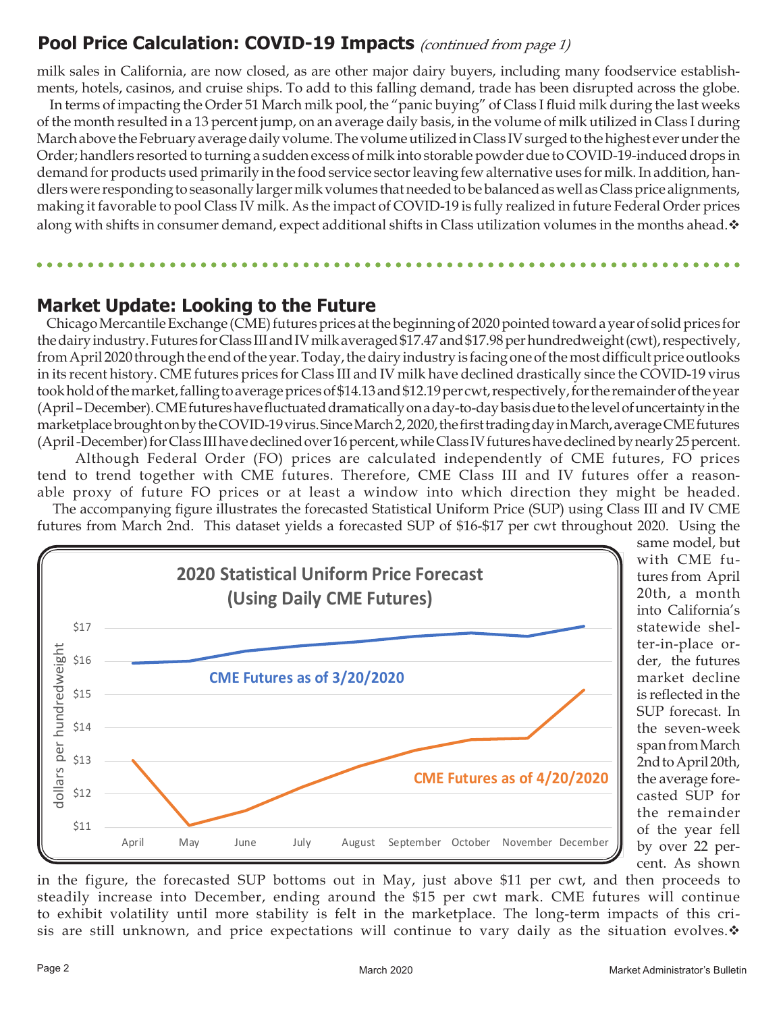## **Pool Price Calculation: COVID-19 Impacts** (continued from page 1)

milk sales in California, are now closed, as are other major dairy buyers, including many foodservice establishments, hotels, casinos, and cruise ships. To add to this falling demand, trade has been disrupted across the globe.

 In terms of impacting the Order 51 March milk pool, the "panic buying" of Class I fluid milk during the last weeks of the month resulted in a 13 percent jump, on an average daily basis, in the volume of milk utilized in Class I during March above the February average daily volume. The volume utilized in Class IV surged to the highest ever under the Order; handlers resorted to turning a sudden excess of milk into storable powder due to COVID-19-induced drops in demand for products used primarily in the food service sector leaving few alternative uses for milk. In addition, handlers were responding to seasonally larger milk volumes that needed to be balanced as well as Class price alignments, making it favorable to pool Class IV milk. As the impact of COVID-19 is fully realized in future Federal Order prices along with shifts in consumer demand, expect additional shifts in Class utilization volumes in the months ahead.  $\cdot$ 

## **Market Update: Looking to the Future**

 Chicago Mercantile Exchange (CME) futures prices at the beginning of 2020 pointed toward a year of solid prices for the dairy industry. Futures for Class III and IV milk averaged \$17.47 and \$17.98 per hundredweight (cwt), respectively, from April 2020 through the end of the year. Today, the dairy industry is facing one of the most difficult price outlooks in its recent history. CME futures prices for Class III and IV milk have declined drastically since the COVID-19 virus took hold of the market, falling to average prices of \$14.13 and \$12.19 per cwt, respectively, for the remainder of the year (April – December). CME futures have fluctuated dramatically on a day-to-day basis due to the level of uncertainty in the marketplace brought on by the COVID-19 virus. Since March 2, 2020, the first trading day in March, average CME futures (April -December) for Class III have declined over 16 percent, while Class IV futures have declined by nearly 25 percent.

 Although Federal Order (FO) prices are calculated independently of CME futures, FO prices tend to trend together with CME futures. Therefore, CME Class III and IV futures offer a reasonable proxy of future FO prices or at least a window into which direction they might be headed.

 The accompanying figure illustrates the forecasted Statistical Uniform Price (SUP) using Class III and IV CME futures from March 2nd. This dataset yields a forecasted SUP of \$16-\$17 per cwt throughout 2020. Using the



same model, but with CME futures from April 20th, a month into California's statewide shelter-in-place order, the futures market decline is reflected in the SUP forecast. In the seven-week span from March 2nd to April 20th, the average forecasted SUP for the remainder of the year fell by over 22 percent. As shown

in the figure, the forecasted SUP bottoms out in May, just above \$11 per cwt, and then proceeds to steadily increase into December, ending around the \$15 per cwt mark. CME futures will continue to exhibit volatility until more stability is felt in the marketplace. The long-term impacts of this crisis are still unknown, and price expectations will continue to vary daily as the situation evolves.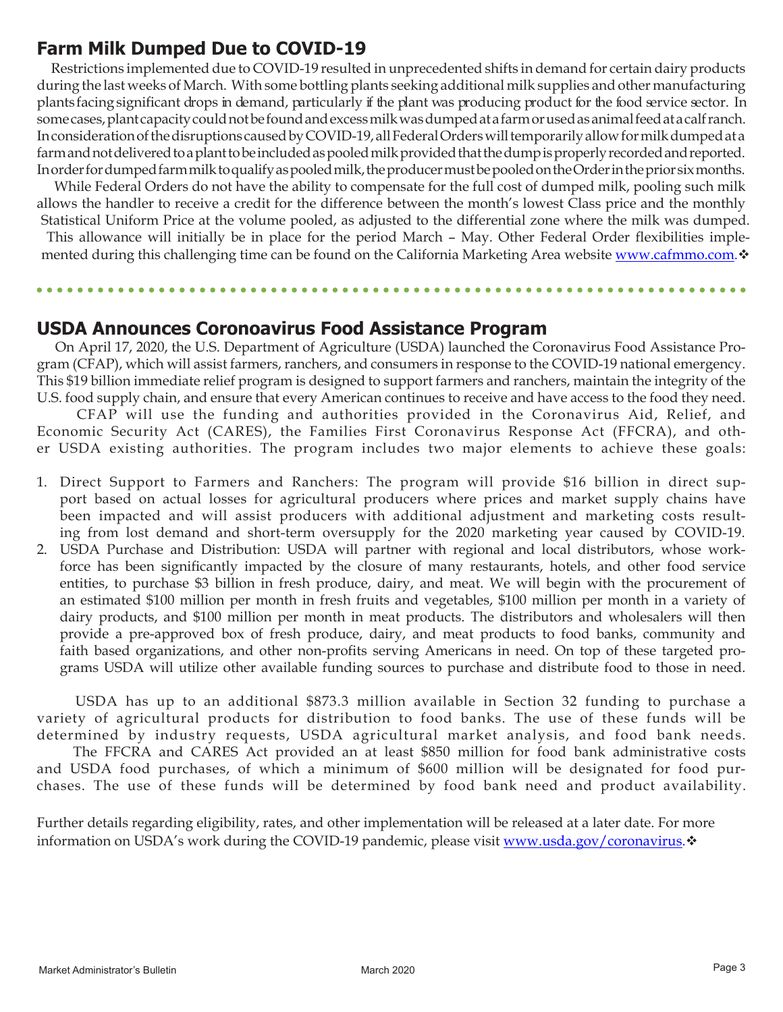## **Farm Milk Dumped Due to COVID-19**

 Restrictions implemented due to COVID-19 resulted in unprecedented shifts in demand for certain dairy products during the last weeks of March. With some bottling plants seeking additional milk supplies and other manufacturing plants facing significant drops in demand, particularly if the plant was producing product for the food service sector. In some cases, plant capacity could not be found and excess milk was dumped at a farm or used as animal feed at acalf ranch. In consideration of the disruptions caused by COVID-19, all Federal Orders will temporarily allow for milk dumped at a farm and not delivered to a plant to be included as pooled milk provided that the dump is properly recorded and reported. In order for dumped farm milk to qualify as pooled milk, the producer must be pooled on the Order in the prior six months.

 While Federal Orders do not have the ability to compensate for the full cost of dumped milk, pooling such milk allows the handler to receive a credit for the difference between the month's lowest Class price and the monthly Statistical Uniform Price at the volume pooled, as adjusted to the differential zone where the milk was dumped.

This allowance will initially be in place for the period March – May. Other Federal Order flexibilities implemented during this challenging time can be found on the California Marketing Area website<www.cafmmo.com>. $\mathbf{\hat{v}}$ 

**\*\*\*\*\*\*\*\*\*\*\*\*\*\*\*** 

## **USDA Announces Coronoavirus Food Assistance Program**

 On April 17, 2020, the U.S. Department of Agriculture (USDA) launched the Coronavirus Food Assistance Program (CFAP), which will assist farmers, ranchers, and consumers in response to the COVID-19 national emergency. This \$19 billion immediate relief program is designed to support farmers and ranchers, maintain the integrity of the U.S. food supply chain, and ensure that every American continues to receive and have access to the food they need.

 CFAP will use the funding and authorities provided in the Coronavirus Aid, Relief, and Economic Security Act (CARES), the Families First Coronavirus Response Act (FFCRA), and other USDA existing authorities. The program includes two major elements to achieve these goals:

- 1. Direct Support to Farmers and Ranchers: The program will provide \$16 billion in direct support based on actual losses for agricultural producers where prices and market supply chains have been impacted and will assist producers with additional adjustment and marketing costs resulting from lost demand and short-term oversupply for the 2020 marketing year caused by COVID-19.
- 2. USDA Purchase and Distribution: USDA will partner with regional and local distributors, whose workforce has been significantly impacted by the closure of many restaurants, hotels, and other food service entities, to purchase \$3 billion in fresh produce, dairy, and meat. We will begin with the procurement of an estimated \$100 million per month in fresh fruits and vegetables, \$100 million per month in a variety of dairy products, and \$100 million per month in meat products. The distributors and wholesalers will then provide a pre-approved box of fresh produce, dairy, and meat products to food banks, community and faith based organizations, and other non-profits serving Americans in need. On top of these targeted programs USDA will utilize other available funding sources to purchase and distribute food to those in need.

 USDA has up to an additional \$873.3 million available in Section 32 funding to purchase a variety of agricultural products for distribution to food banks. The use of these funds will be determined by industry requests, USDA agricultural market analysis, and food bank needs.

 The FFCRA and CARES Act provided an at least \$850 million for food bank administrative costs and USDA food purchases, of which a minimum of \$600 million will be designated for food purchases. The use of these funds will be determined by food bank need and product availability.

Further details regarding eligibility, rates, and other implementation will be released at a later date. For more information on USDA's work during the COVID-19 pandemic, please visit [www.usda.gov/coronavirus.](www.usda.gov/coronavirus)